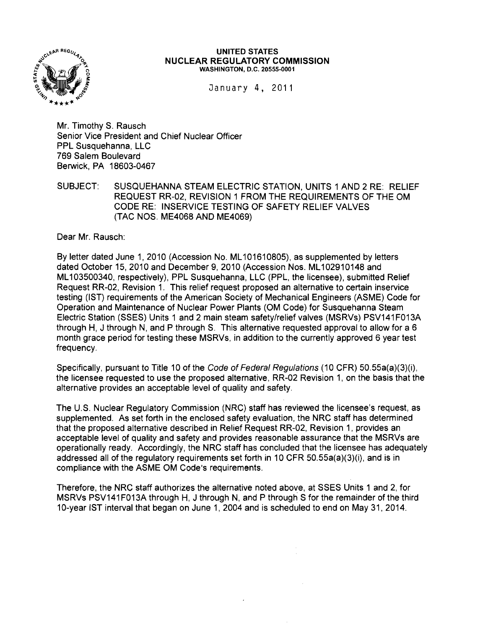

#### UNITED STATES NUCLEAR REGULATORY COMMISSION WASHINGTON, D.C. 20555·0001

January 4, 2011

Mr. Timothy S. Rausch Senior Vice President and Chief Nuclear Officer PPL Susquehanna, LLC 769 Salem Boulevard Berwick, PA 18603-0467

SUBJECT: SUSQUEHANNA STEAM ELECTRIC STATION, UNITS 1 AND 2 RE: RELIEF REQUEST RR-02, REVISION 1 FROM THE REQUIREMENTS OF TH E OM CODE RE: INSERVICE TESTING OF SAFETY RELIEF VALVES (TAC NOS. ME4068 AND ME4069)

Dear Mr. Rausch:

By letter dated June 1,2010 (Accession No. ML101610805), as supplemented by letters dated October 15, 2010 and December 9,2010 (Accession Nos. ML102910148 and ML103500340, respectively), PPL Susquehanna, LLC (PPL, the licensee), submitted Relief Request RR-02, Revision 1. This relief request proposed an alternative to certain inservice testing (1ST) requirements of the American Society of Mechanical Engineers (ASME) Code for Operation and Maintenance of Nuclear Power Plants (OM Code) for Susquehanna Steam Electric Station (SSES) Units 1 and 2 main steam safety/relief valves (MSRVs) PSV141F013A through H, J through N, and P through S. This alternative requested approval to allow for a 6 month grace period for testing these MSRVs, in addition to the currently approved 6 year test frequency.

Specifically, pursuant to Title 10 of the Code of Federal Regu/ations (10 CFR) 50.55a(a)(3)(i), the licensee requested to use the proposed alternative, RR-02 Revision 1, on the basis that the alternative provides an acceptable level of quality and safety.

The U.S. Nuclear Regulatory Commission (NRC) staff has reviewed the licensee's request, as supplemented. As set forth in the enclosed safety evaluation, the NRC staff has determined that the proposed alternative described in Relief Request RR-02, Revision 1, provides an acceptable level of quality and safety and provides reasonable assurance that the MSRVs are operationally ready. Accordingly, the NRC staff has concluded that the licensee has adequately addressed all of the regulatory requirements set forth in 10 CFR 50.55a(a)(3)(i), and is in compliance with the ASME OM Code's requirements.

Therefore, the NRC staff authorizes the alternative noted above, at SSES Units 1 and 2, for MSRVs PSV141 F013A through H, J through N, and P through S for the remainder of the third 10-year 1ST interval that began on June 1, 2004 and is scheduled to end on May 31, 2014.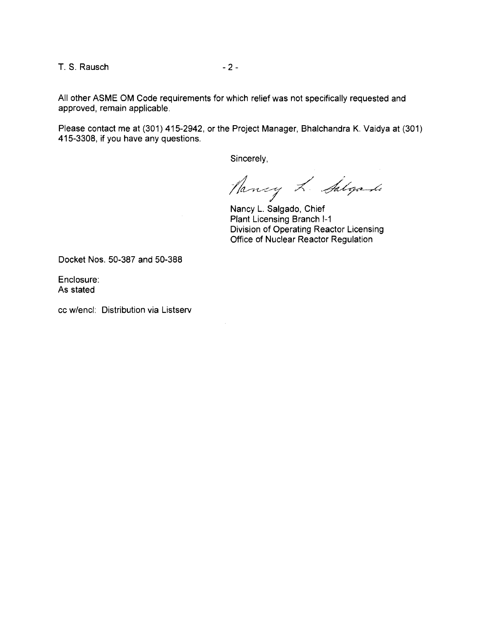T. S. Rausch **- 2** -

All other ASME OM Code requirements for which relief was not specifically requested and approved, remain applicable.

Please contact me at (301) 415-2942, or the Project Manager, Bhalchandra K. Vaidya at (301) 415-3308, if you have any questions.

Sincerely,

Hancy L. Salyado

Nancy L. Salgado, Chief Plant Licensing Branch 1-1 Division of Operating Reactor Licensing Office of Nuclear Reactor Regulation

Docket Nos. 50-387 and 50-388

Enclosure: As stated

cc w/encl: Distribution via Listserv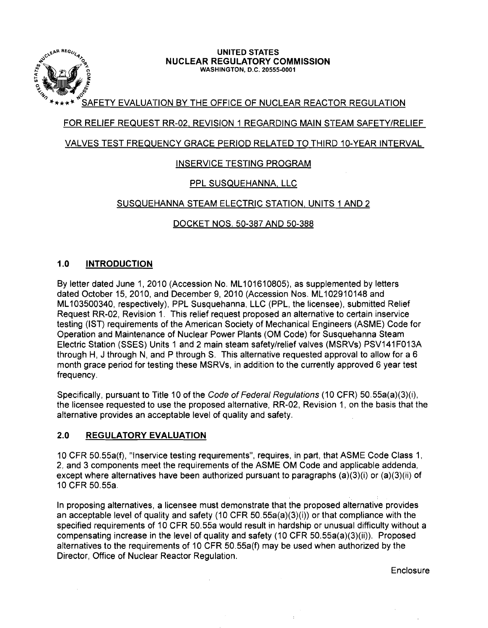

#### لات المستوى المستوى المستوى المستوى المستوى المستوى المستوى المستوى المستوى المستوى المستوى المستوى المستوى ال<br>21. NUCLEAR REGULATORY C NUCLEAR REGULATORY COMMISSION WASHINGTON, D.C. 20555-0001

# SAFETY EVALUATION BY THE OFFICE OF NUCLEAR REACTOR REGULATION

# FOR RELIEF REQUEST RR-02, REVISION 1 REGARDING MAIN STEAM SAFETY/RELIEF

## VALVES TEST FREQUENCY GRACE PERIOD RELATED TO THIRD 10-YEAR INTERVAL

## INSERVICE TESTING PROGRAM

## PPL SUSQUEHANNA, LLC

## SUSQUEHANNA STEAM ELECTRIC STATION, UNITS 1 AND 2

DOCKET NOS. 50-387 AND 50-388

## 1.0 INTRODUCTION

By letter dated June 1, 2010 (Accession No. ML101610805), as supplemented by letters dated October 15, 2010, and December 9,2010 (Accession Nos. ML102910148 and ML 103500340, respectively), PPL Susquehanna, LLC (PPL, the licensee), submitted Relief Request RR-02, Revision 1. This relief request proposed an alternative to certain inservice testing (1ST) requirements of the American Society of Mechanical Engineers (ASME) Code for Operation and Maintenance of Nuclear Power Plants (OM Code) for Susquehanna Steam Electric Station (SSES) Units 1 and 2 main steam safety/relief valves (MSRVs) PSV141F013A through H, J through N, and P through S. This alternative requested approval to allow for a 6 month grace period for testing these MSRVs, in addition to the currently approved 6 year test frequency.

Specifically, pursuant to Title 10 of the Code of Federal Regulations (10 CFR) 50.55a(a)(3)(i), the licensee requested to use the proposed alternative, RR-02, Revision 1. on the basis that the alternative provides an acceptable level of quality and safety.

## 2.0 REGULATORY EVALUATION

10 CFR 50.55a(f), "Inservice testing requirements", requires, in part, that ASME Code Class 1. 2. and 3 components meet the requirements of the ASME OM Code and applicable addenda, except where alternatives have been authorized pursuant to paragraphs (a)(3)(i) or (a)(3)(ii) of 10 CFR 50.55a.

In proposing alternatives, a licensee must demonstrate that the proposed alternative provides an acceptable level of quality and safety (10 CFR 50.55a(a)(3)(i)) or that compliance with the specified requirements of 10 CFR 50.55a would result in hardship or unusual difficulty without a compensating increase in the level of quality and safety (10 CFR 50.55a(a)(3)(ii)). Proposed alternatives to the requirements of 10 CFR 50.55a(f) may be used when authorized by the Director, Office of Nuclear Reactor Regulation.

Enclosure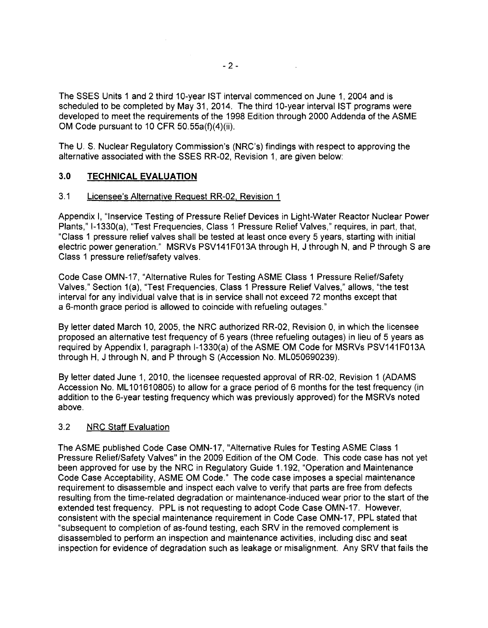The SSES Units 1 and 2 third 10-year 1ST interval commenced on June 1, 2004 and is scheduled to be completed by May 31, 2014. The third 10-year interval IST programs were developed to meet the requirements of the 1998 Edition through 2000 Addenda of the ASME OM Code pursuant to 10 CFR 50.55a(f)(4)(ii).

The U. S. Nuclear Regulatory Commission's (NRC's) findings with respect to approving the alternative associated with the SSES RR-02, Revision 1, are given below:

## 3.0 **TECHNICAL EVALUATION**

#### 3.1 Licensee's Alternative Request RR-02, Revision 1

Appendix I, "Inservice Testing of Pressure Relief Devices in Light-Water Reactor Nuclear Power Plants," 1-1330(a), "Test Frequencies, Class 1 Pressure Relief Valves," requires, in part, that, "Class 1 pressure relief valves shall be tested at least once every 5 years, starting with initial electric power generation." MSRVs PSV141 F013A through H, J through N, and P through S are Class 1 pressure relief/safety valves.

Code Case OMN-17, "Alternative Rules for Testing ASME Class 1 Pressure Relief/Safety Valves," Section 1(a), "Test Frequencies, Class 1 Pressure Relief Valves," allows, "the test interval for any individual valve that is in service shall not exceed 72 months except that a 6-month grace period is allowed to coincide with refueling outages."

By letter dated March 10, 2005, the NRC authorized RR-02, Revision 0, in which the licensee proposed an alternative test frequency of 6 years (three refueling outages) in lieu of 5 years as required by Appendix I, paragraph I-1330(a) of the ASME OM Code for MSRVs PSV141F013A through H, J through N, and P through S (Accession No. ML050690239).

By letter dated June 1, 2010, the licensee requested approval of RR-02, Revision 1 (ADAMS Accession No. ML101610805) to allow for a grace period of 6 months for the test frequency (in addition to the 6-year testing frequency which was previously approved) for the MSRVs noted above.

## 3.2 NRC Staff Evaluation

The ASME published Code Case OMN-17, "Alternative Rules for Testing ASME Class 1 Pressure Relief/Safety Valves" in the 2009 Edition of the OM Code. This code case has not yet been approved for use by the NRC in Regulatory Guide 1.192, "Operation and Maintenance Code Case Acceptability, ASME OM Code." The code case imposes a special maintenance requirement to disassemble and inspect each valve to verify that parts are free from defects resulting from the time-related degradation or maintenance-induced wear prior to the start of the extended test frequency. PPL is not requesting to adopt Code Case OMN-17. However, consistent with the special maintenance requirement in Code Case OMN-17, PPL stated that "subsequent to completion of as-found testing, each SRV in the removed complement is disassembled to perform an inspection and maintenance activities, including disc and seat inspection for evidence of degradation such as leakage or misalignment. Any SRV that fails the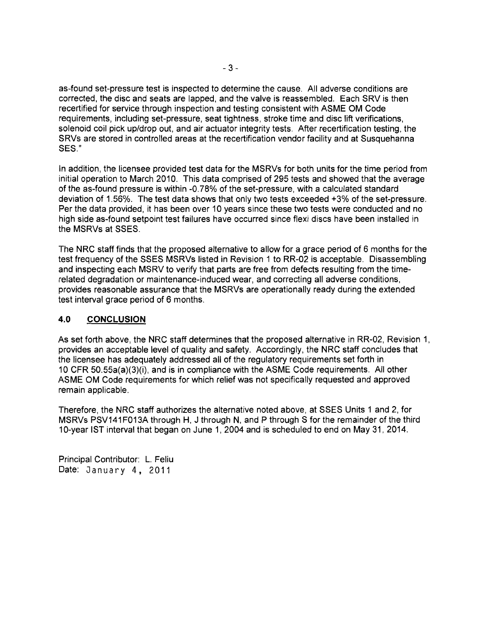as-found set-pressure test is inspected to determine the cause. All adverse conditions are corrected, the disc and seats are lapped, and the valve is reassembled. Each SRV is then recertified for service through inspection and testing consistent with ASME OM Code requirements, including set-pressure, seat tightness, stroke time and disc lift verifications, solenoid coil pick up/drop out, and air actuator integrity tests. After recertification testing, the SRVs are stored in controlled areas at the recertification vendor facility and at Susquehanna SES."

In addition, the licensee provided test data for the MSRVs for both units for the time period from initial operation to March 2010. This data comprised of 295 tests and showed that the average of the as-found pressure is within -0.78% of the set-pressure, with a calculated standard deviation of 1.56%. The test data shows that only two tests exceeded +3% of the set-pressure. Per the data provided, it has been over 10 years since these two tests were conducted and no high side as-found setpoint test failures have occurred since flexi discs have been installed in the MSRVs at SSES.

The NRC staff finds that the proposed alternative to allow for a grace period of 6 months for the test frequency of the SSES MSRVs listed in Revision 1 to RR-02 is acceptable. Disassembling and inspecting each MSRV to verify that parts are free from defects resulting from the timerelated degradation or maintenance-induced wear, and correcting all adverse conditions, provides reasonable assurance that the MSRVs are operationally ready during the extended test interval grace period of 6 months.

## **4.0 CONCLUSION**

As set forth above, the NRC staff determines that the proposed alternative in RR-02, Revision 1, provides an acceptable level of quality and safety. Accordingly, the NRC staff concludes that the licensee has adequately addressed all of the regulatory requirements set forth in 10 CFR 50.55a(a)(3)(i), and is in compliance with the ASME Code requirements. All other ASME OM Code requirements for which relief was not specifically requested and approved remain applicable.

Therefore, the NRC staff authorizes the alternative noted above, at SSES Units 1 and 2, for MSRVs PSV141 F013A through H, J through N, and P through S for the remainder of the third 10-year 1ST interval that began on June 1, 2004 and is scheduled to end on May 31, 2014.

Principal Contributor: L. Feliu Date: January 4, 2011